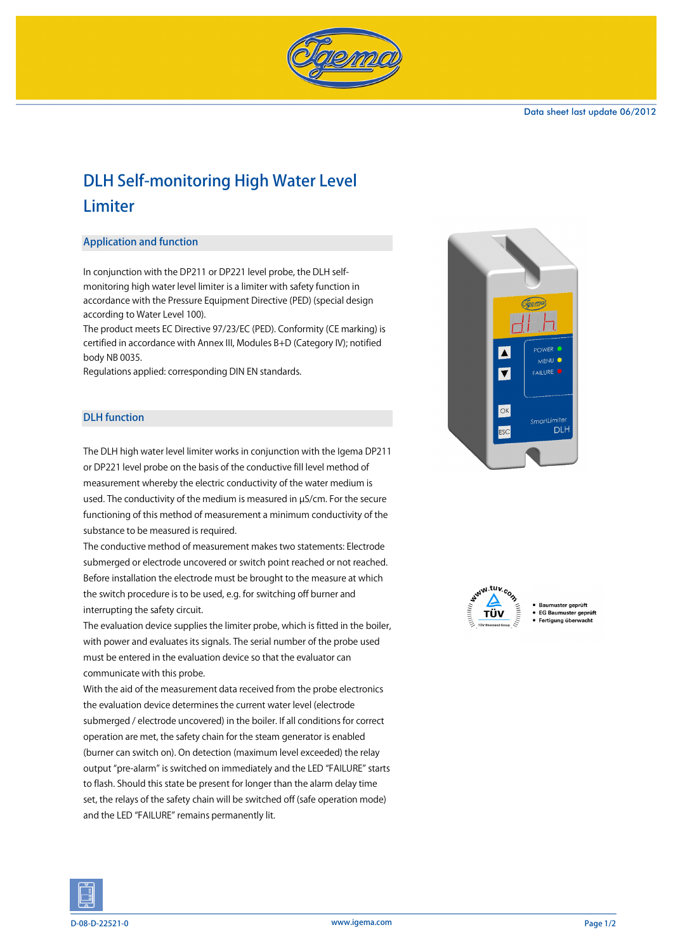

# DLH Self-monitoring High Water Level Limiter

### Application and function

In conjunction with the DP211 or DP221 level probe, the DLH selfmonitoring high water level limiter is a limiter with safety function in accordance with the Pressure Equipment Directive (PED) (special design according to Water Level 100).

The product meets EC Directive 97/23/EC (PED). Conformity (CE marking) is certified in accordance with Annex III, Modules B+D (Category IV); notified body NB 0035.

Regulations applied: corresponding DIN EN standards.

### DLH function

The DLH high water level limiter works in conjunction with the Igema DP211 or DP221 level probe on the basis of the conductive fill level method of measurement whereby the electric conductivity of the water medium is used. The conductivity of the medium is measured in µS/cm. For the secure functioning of this method of measurement a minimum conductivity of the substance to be measured is required.

The conductive method of measurement makes two statements: Electrode submerged or electrode uncovered or switch point reached or not reached. Before installation the electrode must be brought to the measure at which the switch procedure is to be used, e.g. for switching off burner and interrupting the safety circuit.

The evaluation device supplies the limiter probe, which is fitted in the boiler, with power and evaluates its signals. The serial number of the probe used must be entered in the evaluation device so that the evaluator can communicate with this probe.

With the aid of the measurement data received from the probe electronics the evaluation device determines the current water level (electrode submerged / electrode uncovered) in the boiler. If all conditions for correct operation are met, the safety chain for the steam generator is enabled (burner can switch on). On detection (maximum level exceeded) the relay output "pre-alarm" is switched on immediately and the LED "FAILURE" starts to flash. Should this state be present for longer than the alarm delay time set, the relays of the safety chain will be switched off (safe operation mode) and the LED "FAILURE" remains permanently lit.





- EG Baumuster geprüft
- Fertia na über